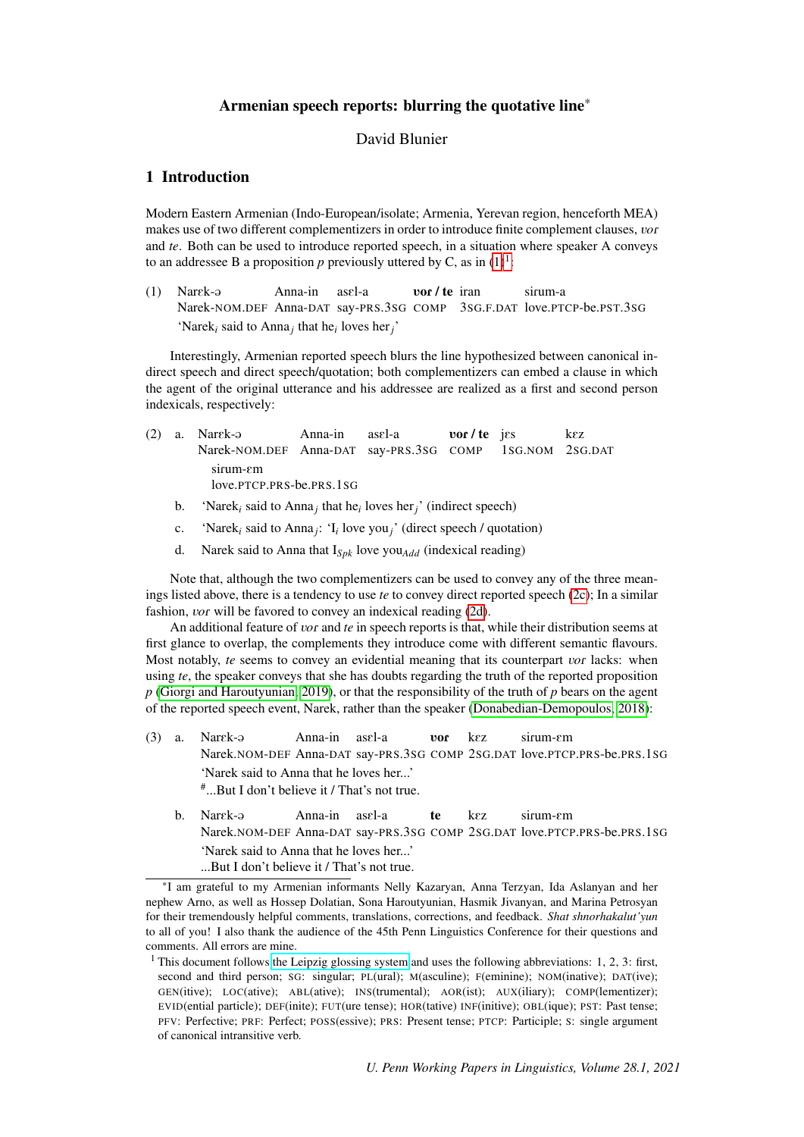# Armenian speech reports: blurring the quotative line\*

# David Blunier

### <span id="page-0-1"></span><span id="page-0-0"></span>1 Introduction

Modern Eastern Armenian (Indo-European/isolate; Armenia, Yerevan region, henceforth MEA) makes use of two different complementizers in order to introduce finite complement clauses, *vor* and *te*. Both can be used to introduce reported speech, in a situation where speaker A conveys to an addressee B a proposition p previously uttered by C, as in  $(1)^1$  $(1)^1$ :

 $(1)$  Narck- $\varphi$ Narek-NOM.DEF Anna-DAT say-PRS.3SG COMP 3SG.F.DAT love.PTCP-be.PST.3SG Anna-in asel-a vor / te iran sirum-a 'Narek<sub>*i*</sub> said to Anna<sub>*j*</sub></sub> that he<sub>*i*</sub> loves her<sub>*j*</sub>'

Interestingly, Armenian reported speech blurs the line hypothesized between canonical indirect speech and direct speech/quotation; both complementizers can embed a clause in which the agent of the original utterance and his addressee are realized as a first and second person indexicals, respectively:

- $(2)$  a. Nargk- $\Theta$ Narek-NOM.DEF Anna-DAT say-PRS.3SG COMP Anna-in  $asel-a$ vor / te jes 1SG.NOM 2SG.DAT kEz sirum-em love.PTCP.PRS-be.PRS.1SG
	- b. 'Narek<sub>i</sub> said to Anna<sub>j</sub> that he<sub>i</sub> loves her<sub>j</sub>' (indirect speech)
	- c. 'Narek*<sup>i</sup>* said to Anna*<sup>j</sup>* : 'I*<sup>i</sup>* love you*j*' (direct speech / quotation)
	- d. Narek said to Anna that I*Spk* love you*Add* (indexical reading)

Note that, although the two complementizers can be used to convey any of the three meanings listed above, there is a tendency to use *te* to convey direct reported speech [\(2c\)](#page-0-0); In a similar fashion, *vor* will be favored to convey an indexical reading [\(2d\)](#page-0-0).

An additional feature of *vor* and *te* in speech reports is that, while their distribution seems at first glance to overlap, the complements they introduce come with different semantic flavours. Most notably, *te* seems to convey an evidential meaning that its counterpart *vor* lacks: when using *te*, the speaker conveys that she has doubts regarding the truth of the reported proposition *p* [\(Giorgi and Haroutyunian, 2019\)](#page-8-0), or that the responsibility of the truth of *p* bears on the agent of the reported speech event, Narek, rather than the speaker [\(Donabedian-Demopoulos, 2018\)](#page-7-0):

- $(3)$  a. Narek- $\Theta$ Narek.NOM-DEF Anna-DAT say-PRS.3SG COMP 2SG.DAT love.PTCP.PRS-be.PRS.1SG Anna-in asEl-a VoR kEz sirum-em 'Narek said to Anna that he loves her...' # ...But I don't believe it / That's not true.
	- b. Narek-a Narek.NOM-DEF Anna-DAT say-PRS.3SG COMP 2SG.DAT love.PTCP.PRS-be.PRS.1SG Anna-in asEl-a te kEz sirum-em 'Narek said to Anna that he loves her...' ...But I don't believe it / That's not true.

<sup>\*</sup>I am grateful to my Armenian informants Nelly Kazaryan, Anna Terzyan, Ida Aslanyan and her nephew Arno, as well as Hossep Dolatian, Sona Haroutyunian, Hasmik Jivanyan, and Marina Petrosyan for their tremendously helpful comments, translations, corrections, and feedback. *Shat shnorhakalut'yun* to all of you! I also thank the audience of the 45th Penn Linguistics Conference for their questions and comments. All errors are mine.

<sup>&</sup>lt;sup>1</sup> This document follows [the Leipzig glossing system](https://www.eva.mpg.de/lingua/pdf/Glossing-Rules.pdf.) and uses the following abbreviations: 1, 2, 3: first, second and third person; SG: singular; PL(ural); M(asculine); F(eminine); NOM(inative); DAT(ive); GEN(itive); LOC(ative); ABL(ative); INS(trumental); AOR(ist); AUX(iliary); COMP(lementizer); EVID(ential particle); DEF(inite); FUT(ure tense); HOR(tative) INF(initive); OBL(ique); PST: Past tense; PFV: Perfective; PRF: Perfect; POSS(essive); PRS: Present tense; PTCP: Participle; S: single argument of canonical intransitive verb.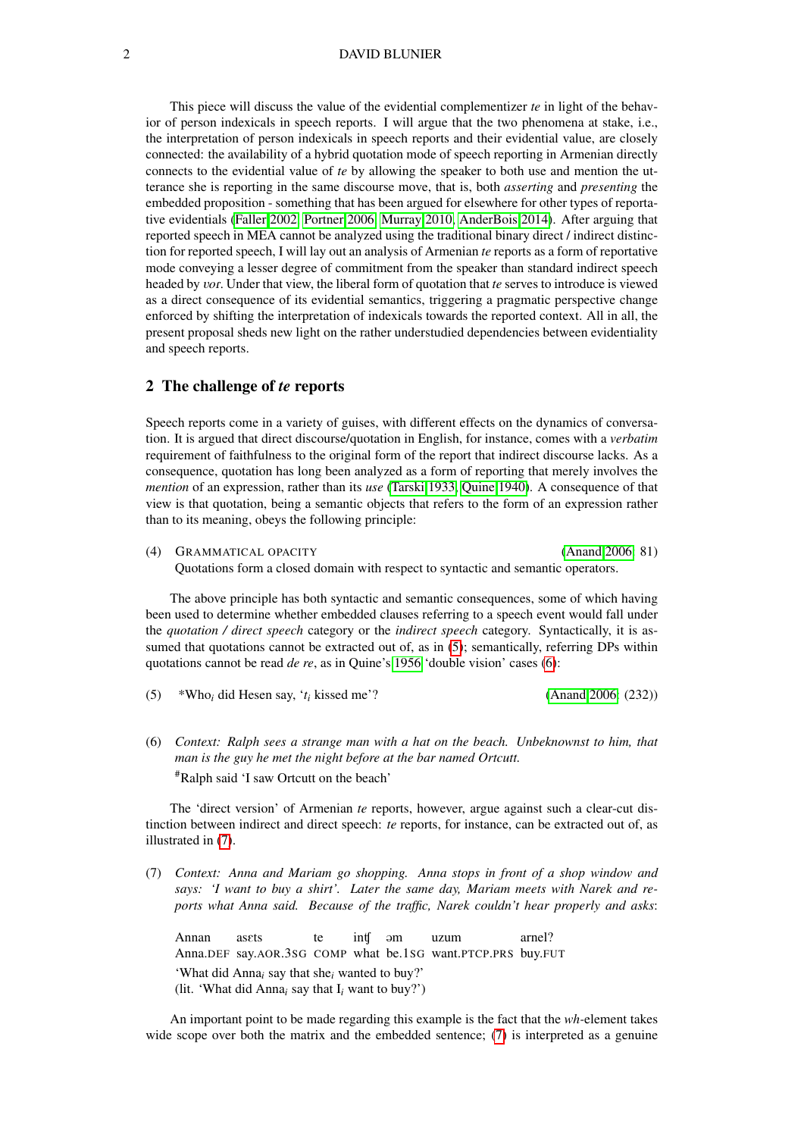#### 2 DAVID BLUNIER

This piece will discuss the value of the evidential complementizer *te* in light of the behavior of person indexicals in speech reports. I will argue that the two phenomena at stake, i.e., the interpretation of person indexicals in speech reports and their evidential value, are closely connected: the availability of a hybrid quotation mode of speech reporting in Armenian directly connects to the evidential value of *te* by allowing the speaker to both use and mention the utterance she is reporting in the same discourse move, that is, both *asserting* and *presenting* the embedded proposition - something that has been argued for elsewhere for other types of reportative evidentials [\(Faller 2002,](#page-7-1) [Portner 2006,](#page-8-1) [Murray 2010,](#page-8-2) [AnderBois 2014\)](#page-7-2). After arguing that reported speech in MEA cannot be analyzed using the traditional binary direct / indirect distinction for reported speech, I will lay out an analysis of Armenian *te* reports as a form of reportative mode conveying a lesser degree of commitment from the speaker than standard indirect speech headed by V*o*R. Under that view, the liberal form of quotation that *te* serves to introduce is viewed as a direct consequence of its evidential semantics, triggering a pragmatic perspective change enforced by shifting the interpretation of indexicals towards the reported context. All in all, the present proposal sheds new light on the rather understudied dependencies between evidentiality and speech reports.

### <span id="page-1-0"></span>2 The challenge of *te* reports

Speech reports come in a variety of guises, with different effects on the dynamics of conversation. It is argued that direct discourse/quotation in English, for instance, comes with a *verbatim* requirement of faithfulness to the original form of the report that indirect discourse lacks. As a consequence, quotation has long been analyzed as a form of reporting that merely involves the *mention* of an expression, rather than its *use* [\(Tarski 1933,](#page-8-3) [Quine 1940\)](#page-8-4). A consequence of that view is that quotation, being a semantic objects that refers to the form of an expression rather than to its meaning, obeys the following principle:

(4) GRAMMATICAL OPACITY [\(Anand 2006:](#page-7-3) 81) Quotations form a closed domain with respect to syntactic and semantic operators.

The above principle has both syntactic and semantic consequences, some of which having been used to determine whether embedded clauses referring to a speech event would fall under the *quotation / direct speech* category or the *indirect speech* category. Syntactically, it is assumed that quotations cannot be extracted out of, as in  $(5)$ ; semantically, referring DPs within quotations cannot be read *de re*, as in Quine's [1956](#page-8-5) 'double vision' cases [\(6\)](#page-1-0):

(5) \*Who*<sup>i</sup>* did Hesen say, '*t<sup>i</sup>* kissed me'? [\(Anand 2006:](#page-7-3) (232))

(6) *Context: Ralph sees a strange man with a hat on the beach. Unbeknownst to him, that man is the guy he met the night before at the bar named Ortcutt.* #Ralph said 'I saw Ortcutt on the beach'

The 'direct version' of Armenian *te* reports, however, argue against such a clear-cut distinction between indirect and direct speech: *te* reports, for instance, can be extracted out of, as illustrated in [\(7\)](#page-1-0).

(7) *Context: Anna and Mariam go shopping. Anna stops in front of a shop window and says: 'I want to buy a shirt'. Later the same day, Mariam meets with Narek and reports what Anna said. Because of the traffic, Narek couldn't hear properly and asks*:

Annan Anna.DEF say.AOR.3SG COMP what be.1SG want.PTCP.PRS buy.FUT asets te inÙ @m uzum arnel? 'What did Anna*<sup>i</sup>* say that she*<sup>i</sup>* wanted to buy?' (lit. 'What did Anna*<sup>i</sup>* say that I*<sup>i</sup>* want to buy?')

An important point to be made regarding this example is the fact that the *wh-*element takes wide scope over both the matrix and the embedded sentence; [\(7\)](#page-1-0) is interpreted as a genuine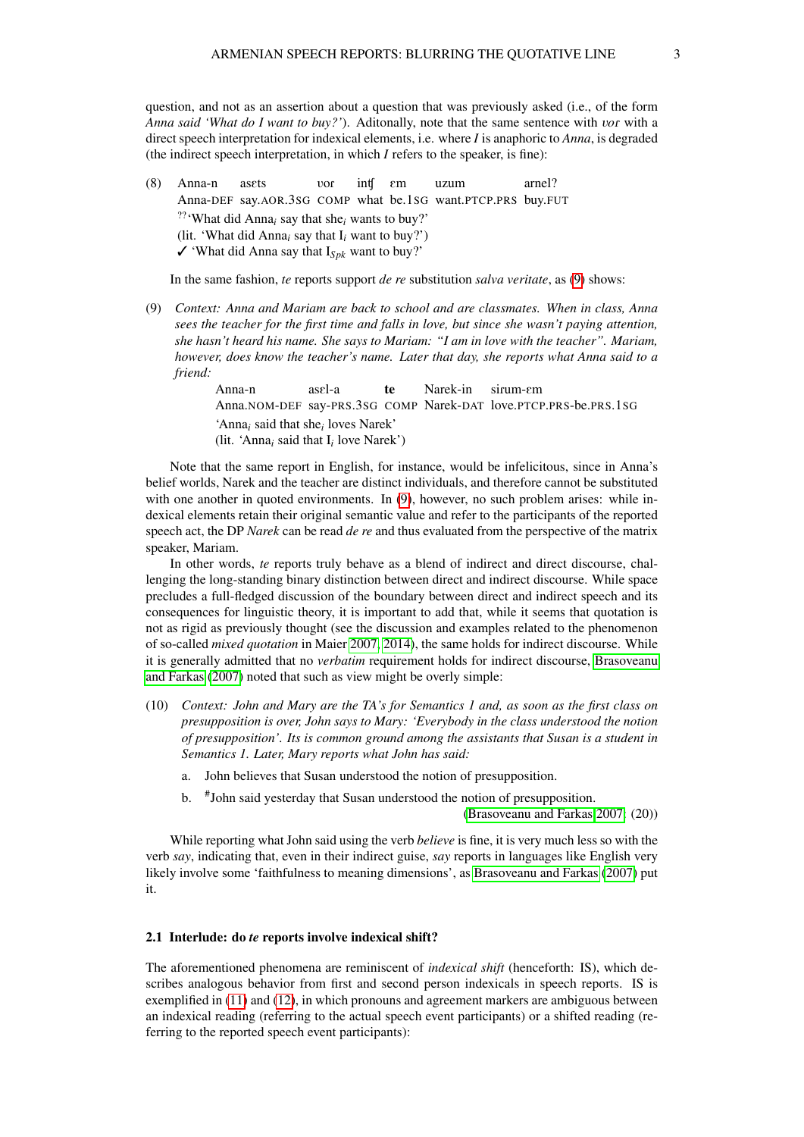question, and not as an assertion about a question that was previously asked (i.e., of the form *Anna said 'What do I want to buy?'*). Aditonally, note that the same sentence with vor with a direct speech interpretation for indexical elements, i.e. where *I* is anaphoric to *Anna*, is degraded (the indirect speech interpretation, in which *I* refers to the speaker, is fine):

(8) Anna-n Anna-DEF say.AOR.3SG COMP what be.1SG want.PTCP.PRS buy.FUT asets VoR inÙ Em uzum arnel? ??'What did Anna*<sup>i</sup>* say that she*<sup>i</sup>* wants to buy?' (lit. 'What did Anna*<sup>i</sup>* say that I*<sup>i</sup>* want to buy?')  $\checkmark$  'What did Anna say that I<sub>Spk</sub> want to buy?'

In the same fashion, *te* reports support *de re* substitution *salva veritate*, as [\(9\)](#page-1-0) shows:

(9) *Context: Anna and Mariam are back to school and are classmates. When in class, Anna sees the teacher for the first time and falls in love, but since she wasn't paying attention, she hasn't heard his name. She says to Mariam: "I am in love with the teacher". Mariam, however, does know the teacher's name. Later that day, she reports what Anna said to a friend:*

> Anna-n Anna.NOM-DEF say-PRS.3SG COMP Narek-DAT love.PTCP.PRS-be.PRS.1SG asel-a te Narek-in sirum-em 'Anna*<sup>i</sup>* said that she*<sup>i</sup>* loves Narek' (lit. 'Anna*<sup>i</sup>* said that I*<sup>i</sup>* love Narek')

Note that the same report in English, for instance, would be infelicitous, since in Anna's belief worlds, Narek and the teacher are distinct individuals, and therefore cannot be substituted with one another in quoted environments. In [\(9\)](#page-1-0), however, no such problem arises: while indexical elements retain their original semantic value and refer to the participants of the reported speech act, the DP *Narek* can be read *de re* and thus evaluated from the perspective of the matrix speaker, Mariam.

In other words, *te* reports truly behave as a blend of indirect and direct discourse, challenging the long-standing binary distinction between direct and indirect discourse. While space precludes a full-fledged discussion of the boundary between direct and indirect speech and its consequences for linguistic theory, it is important to add that, while it seems that quotation is not as rigid as previously thought (see the discussion and examples related to the phenomenon of so-called *mixed quotation* in Maier [2007,](#page-8-6) [2014\)](#page-8-7), the same holds for indirect discourse. While it is generally admitted that no *verbatim* requirement holds for indirect discourse, [Brasoveanu](#page-7-4) [and Farkas](#page-7-4) [\(2007\)](#page-7-4) noted that such as view might be overly simple:

- (10) *Context: John and Mary are the TA's for Semantics 1 and, as soon as the first class on presupposition is over, John says to Mary: 'Everybody in the class understood the notion of presupposition'. Its is common ground among the assistants that Susan is a student in Semantics 1. Later, Mary reports what John has said:*
	- a. John believes that Susan understood the notion of presupposition.
	- $h_{\cdot}$ John said yesterday that Susan understood the notion of presupposition.

[\(Brasoveanu and Farkas 2007:](#page-7-4) (20))

While reporting what John said using the verb *believe* is fine, it is very much less so with the verb *say*, indicating that, even in their indirect guise, *say* reports in languages like English very likely involve some 'faithfulness to meaning dimensions', as [Brasoveanu and Farkas](#page-7-4) [\(2007\)](#page-7-4) put it.

#### <span id="page-2-0"></span>2.1 Interlude: do *te* reports involve indexical shift?

The aforementioned phenomena are reminiscent of *indexical shift* (henceforth: IS), which describes analogous behavior from first and second person indexicals in speech reports. IS is exemplified in [\(11\)](#page-2-0) and [\(12\)](#page-2-0), in which pronouns and agreement markers are ambiguous between an indexical reading (referring to the actual speech event participants) or a shifted reading (referring to the reported speech event participants):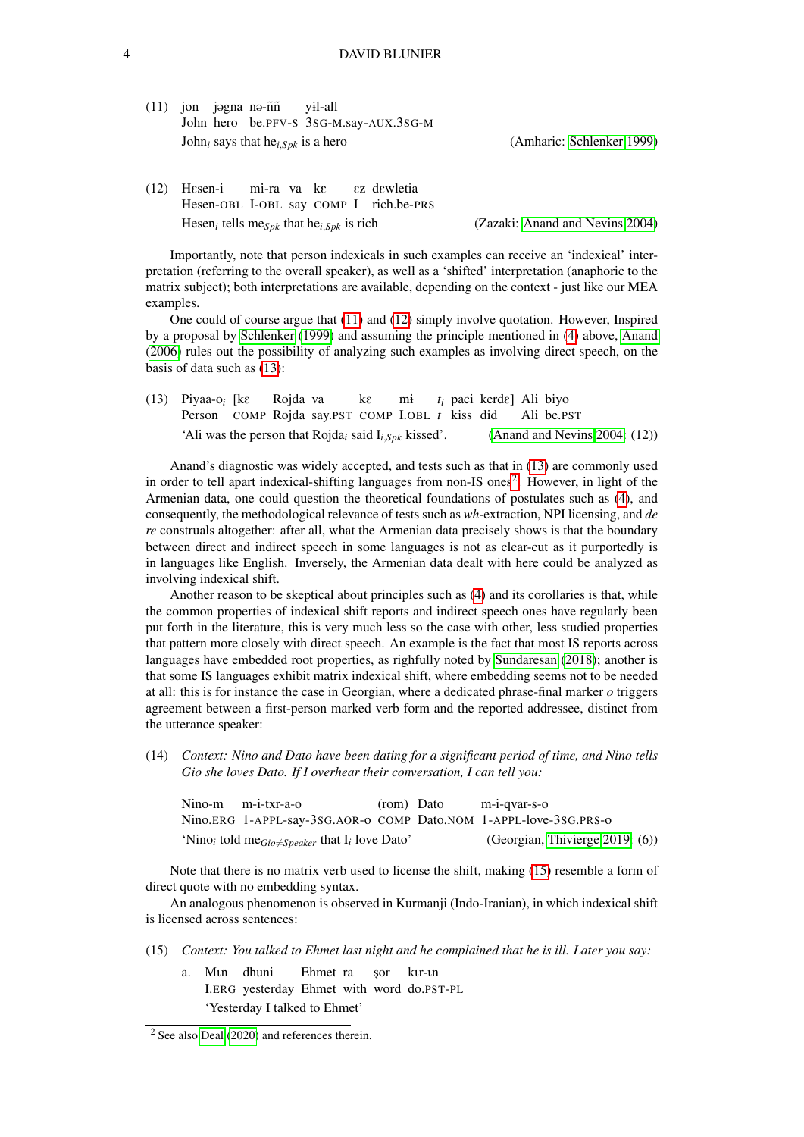$(11)$  jon jagna na-ññ John hero be.PFV-S 3SG-M.say-AUX.3SG-M y1l-all John*<sup>i</sup>* says that he*i*,*Spk* is a hero (Amharic: [Schlenker 1999\)](#page-8-8)

(12) HEsen-i Hesen-OBL I-OBL say COMP I rich.be-PRS mi-ra va ke Ez dEwletia Hesen*<sup>i</sup>* tells me*Spk* that he*i*,*Spk* is rich (Zazaki: [Anand and Nevins 2004\)](#page-7-5)

Importantly, note that person indexicals in such examples can receive an 'indexical' interpretation (referring to the overall speaker), as well as a 'shifted' interpretation (anaphoric to the matrix subject); both interpretations are available, depending on the context - just like our MEA examples.

One could of course argue that [\(11\)](#page-2-0) and [\(12\)](#page-2-0) simply involve quotation. However, Inspired by a proposal by [Schlenker](#page-8-8) [\(1999\)](#page-8-8) and assuming the principle mentioned in [\(4\)](#page-1-0) above, [Anand](#page-7-3) [\(2006\)](#page-7-3) rules out the possibility of analyzing such examples as involving direct speech, on the basis of data such as [\(13\)](#page-2-0):

(13) Piyaa-o*<sup>i</sup>* [kE Person COMP Rojda say.PST COMP I.OBL t kiss did Rojda va kE mi  $t_i$  paci kerd $\varepsilon$ ] Ali biyo Ali be.PST 'Ali was the person that Rojda*<sup>i</sup>* said I*i*,*Spk* kissed'. [\(Anand and Nevins 2004:](#page-7-5) (12))

Anand's diagnostic was widely accepted, and tests such as that in [\(13\)](#page-2-0) are commonly used in order to tell apart indexical-shifting languages from non-IS ones<sup>[2](#page-0-1)</sup>. However, in light of the Armenian data, one could question the theoretical foundations of postulates such as [\(4\)](#page-1-0), and consequently, the methodological relevance of tests such as *wh-*extraction, NPI licensing, and *de re* construals altogether: after all, what the Armenian data precisely shows is that the boundary between direct and indirect speech in some languages is not as clear-cut as it purportedly is in languages like English. Inversely, the Armenian data dealt with here could be analyzed as involving indexical shift.

Another reason to be skeptical about principles such as [\(4\)](#page-1-0) and its corollaries is that, while the common properties of indexical shift reports and indirect speech ones have regularly been put forth in the literature, this is very much less so the case with other, less studied properties that pattern more closely with direct speech. An example is the fact that most IS reports across languages have embedded root properties, as righfully noted by [Sundaresan](#page-8-9) [\(2018\)](#page-8-9); another is that some IS languages exhibit matrix indexical shift, where embedding seems not to be needed at all: this is for instance the case in Georgian, where a dedicated phrase-final marker *o* triggers agreement between a first-person marked verb form and the reported addressee, distinct from the utterance speaker:

(14) *Context: Nino and Dato have been dating for a significant period of time, and Nino tells Gio she loves Dato. If I overhear their conversation, I can tell you:*

| Nino-m m-i-txr-a-o                                                                                   | (rom) Dato | m-i-qvar-s-o                                                      |
|------------------------------------------------------------------------------------------------------|------------|-------------------------------------------------------------------|
|                                                                                                      |            | Nino.ERG 1-APPL-say-3sG.AOR-o COMP Dato.NOM 1-APPL-love-3sG.PRS-o |
| 'Nino <sub>i</sub> told me <sub>Gio</sub> $\angle$ <sub>Speaker</sub> that I <sub>i</sub> love Dato' |            | (Georgian, Thivierge 2019: (6))                                   |

Note that there is no matrix verb used to license the shift, making [\(15\)](#page-2-0) resemble a form of direct quote with no embedding syntax.

An analogous phenomenon is observed in Kurmanji (Indo-Iranian), in which indexical shift is licensed across sentences:

- (15) *Context: You talked to Ehmet last night and he complained that he is ill. Later you say:*
	- a. Mun dhuni I.ERG yesterday Ehmet with word do.PST-PL Ehmet ra sor kur-un 'Yesterday I talked to Ehmet'

<sup>2</sup> See also [Deal](#page-7-6) [\(2020\)](#page-7-6) and references therein.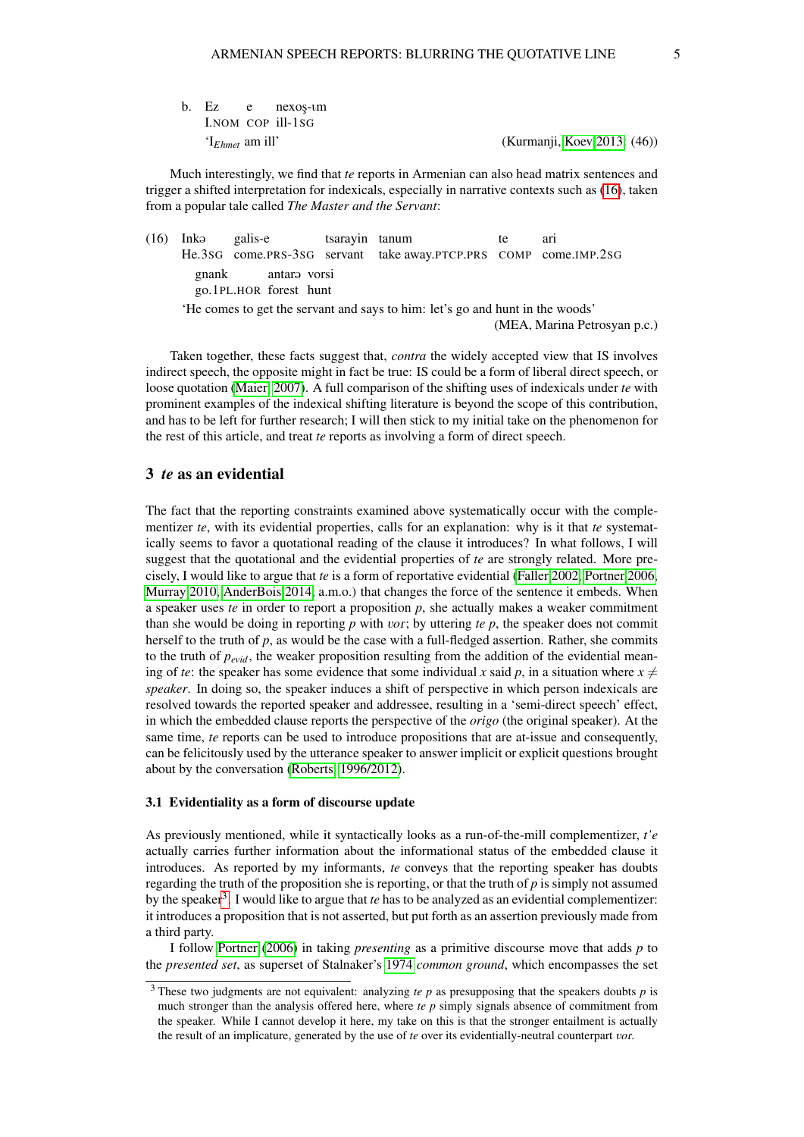b. Ez I.NOM COP ill-1SG e nexos-um

'I*Ehmet* am ill' (Kurmanji, [Koev 2013:](#page-8-11) (46))

Much interestingly, we find that *te* reports in Armenian can also head matrix sentences and trigger a shifted interpretation for indexicals, especially in narrative contexts such as [\(16\)](#page-2-0), taken from a popular tale called *The Master and the Servant*:

 $(16)$  Inka He.3SG galis-e come.PRS-3SG servant tsarayin tanum take away.PTCP.PRS COMP come.IMP.2SG te ari gnank go.1PL.HOR forest hunt antara vorsi 'He comes to get the servant and says to him: let's go and hunt in the woods' (MEA, Marina Petrosyan p.c.)

Taken together, these facts suggest that, *contra* the widely accepted view that IS involves indirect speech, the opposite might in fact be true: IS could be a form of liberal direct speech, or loose quotation [\(Maier, 2007\)](#page-8-6). A full comparison of the shifting uses of indexicals under *te* with prominent examples of the indexical shifting literature is beyond the scope of this contribution, and has to be left for further research; I will then stick to my initial take on the phenomenon for the rest of this article, and treat *te* reports as involving a form of direct speech.

## 3 *te* as an evidential

The fact that the reporting constraints examined above systematically occur with the complementizer *te*, with its evidential properties, calls for an explanation: why is it that *te* systematically seems to favor a quotational reading of the clause it introduces? In what follows, I will suggest that the quotational and the evidential properties of *te* are strongly related. More precisely, I would like to argue that *te* is a form of reportative evidential [\(Faller 2002,](#page-7-1) [Portner 2006,](#page-8-1) [Murray 2010,](#page-8-2) [AnderBois 2014,](#page-7-2) a.m.o.) that changes the force of the sentence it embeds. When a speaker uses *te* in order to report a proposition *p*, she actually makes a weaker commitment than she would be doing in reporting  $p$  with  $\iota$ *or*; by uttering  $te$   $p$ , the speaker does not commit herself to the truth of *p*, as would be the case with a full-fledged assertion. Rather, she commits to the truth of *pevid*, the weaker proposition resulting from the addition of the evidential meaning of *te*: the speaker has some evidence that some individual *x* said *p*, in a situation where  $x \neq 0$ *speaker*. In doing so, the speaker induces a shift of perspective in which person indexicals are resolved towards the reported speaker and addressee, resulting in a 'semi-direct speech' effect, in which the embedded clause reports the perspective of the *origo* (the original speaker). At the same time, *te* reports can be used to introduce propositions that are at-issue and consequently, can be felicitously used by the utterance speaker to answer implicit or explicit questions brought about by the conversation [\(Roberts, 1996/2012\)](#page-8-12).

#### 3.1 Evidentiality as a form of discourse update

As previously mentioned, while it syntactically looks as a run-of-the-mill complementizer, *t'e* actually carries further information about the informational status of the embedded clause it introduces. As reported by my informants, *te* conveys that the reporting speaker has doubts regarding the truth of the proposition she is reporting, or that the truth of *p* is simply not assumed by the speaker<sup>[3](#page-0-1)</sup>. I would like to argue that *te* has to be analyzed as an evidential complementizer: it introduces a proposition that is not asserted, but put forth as an assertion previously made from a third party.

I follow [Portner](#page-8-1) [\(2006\)](#page-8-1) in taking *presenting* as a primitive discourse move that adds *p* to the *presented set*, as superset of Stalnaker's [1974](#page-8-13) *common ground*, which encompasses the set

<sup>3</sup> These two judgments are not equivalent: analyzing *te p* as presupposing that the speakers doubts *p* is much stronger than the analysis offered here, where *te p* simply signals absence of commitment from the speaker. While I cannot develop it here, my take on this is that the stronger entailment is actually the result of an implicature, generated by the use of *te* over its evidentially-neutral counterpart *vor*.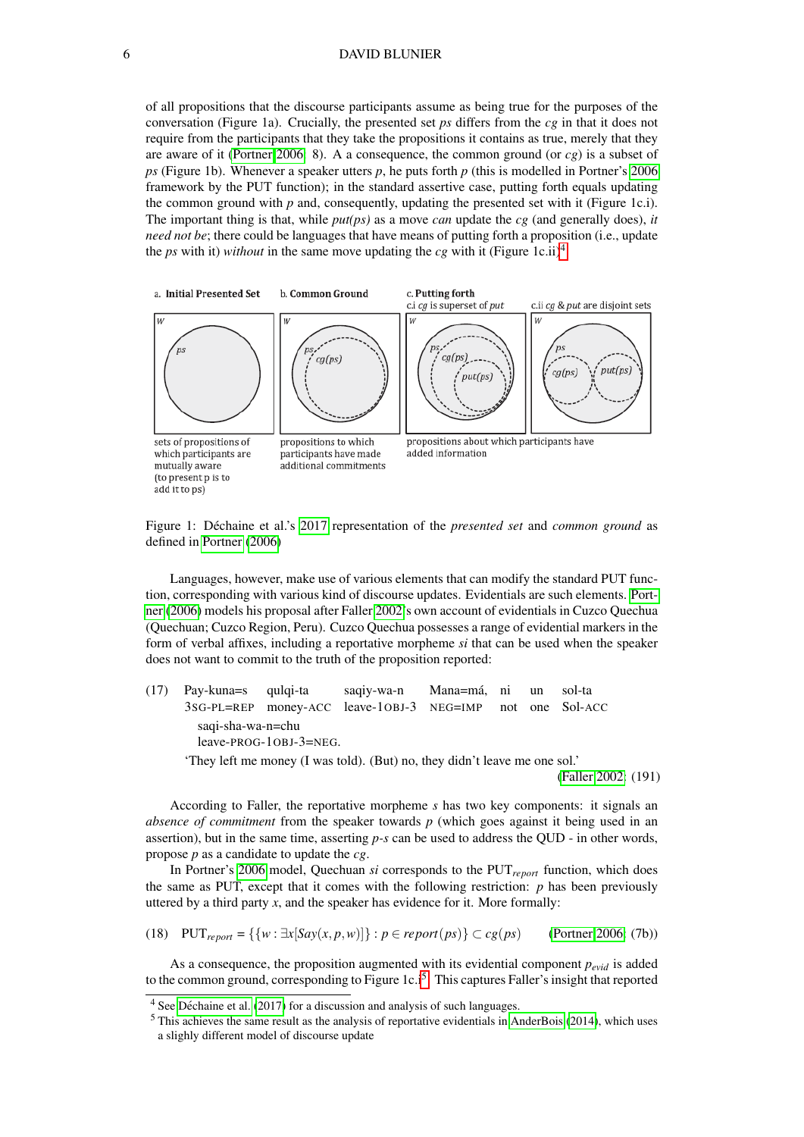#### 6 DAVID BLUNIER

of all propositions that the discourse participants assume as being true for the purposes of the conversation (Figure 1a). Crucially, the presented set *ps* differs from the *cg* in that it does not require from the participants that they take the propositions it contains as true, merely that they are aware of it [\(Portner 2006:](#page-8-1) 8). A a consequence, the common ground (or  $cg$ ) is a subset of *ps* (Figure 1b). Whenever a speaker utters *p*, he puts forth *p* (this is modelled in Portner's [2006](#page-8-1) framework by the PUT function); in the standard assertive case, putting forth equals updating the common ground with *p* and, consequently, updating the presented set with it (Figure 1c.i). The important thing is that, while *put(ps)* as a move *can* update the *cg* (and generally does), *it need not be*; there could be languages that have means of putting forth a proposition (i.e., update the *ps* with it) *without* in the same move updating the *cg* with it (Figure 1c.ii)<sup>[4](#page-0-1)</sup>.



Figure 1: Déchaine et al.'s [2017](#page-7-7) representation of the *presented set* and *common ground* as defined in [Portner](#page-8-1) [\(2006\)](#page-8-1)

Languages, however, make use of various elements that can modify the standard PUT function, corresponding with various kind of discourse updates. Evidentials are such elements. [Port](#page-8-1)[ner](#page-8-1) [\(2006\)](#page-8-1) models his proposal after Faller [2002'](#page-7-1)s own account of evidentials in Cuzco Quechua (Quechuan; Cuzco Region, Peru). Cuzco Quechua possesses a range of evidential markers in the form of verbal affixes, including a reportative morpheme *si* that can be used when the speaker does not want to commit to the truth of the proposition reported:

(17) Pay-kuna=s 3SG-PL=REP qulqi-ta money-ACC leave-1OBJ-3 saqiy-wa-n  $Mana=<sub>m</sub>$ á NEG=IMP ni not un one sol-ta Sol-ACC saqi-sha-wa-n=chu leave-PROG-1OBJ-3=NEG. 'They left me money (I was told). (But) no, they didn't leave me one sol.'

[\(Faller 2002:](#page-7-1) (191)

According to Faller, the reportative morpheme *s* has two key components: it signals an *absence of commitment* from the speaker towards *p* (which goes against it being used in an assertion), but in the same time, asserting *p-s* can be used to address the QUD - in other words, propose *p* as a candidate to update the *cg*.

In Portner's [2006](#page-8-1) model, Quechuan *si* corresponds to the PUT*report* function, which does the same as PUT, except that it comes with the following restriction:  $p$  has been previously uttered by a third party *x*, and the speaker has evidence for it. More formally:

(18) 
$$
PUT_{report} = \{\{w : \exists x [Say(x, p, w)]\} : p \in report(ps)\} \subset cg(ps)
$$
 (Portner 2006: (7b))

As a consequence, the proposition augmented with its evidential component *pevid* is added to the common ground, corresponding to Figure 1c.i<sup>[5](#page-0-1)</sup>. This captures Faller's insight that reported

 $4$  See Déchaine et al. [\(2017\)](#page-7-7) for a discussion and analysis of such languages.

 $<sup>5</sup>$  This achieves the same result as the analysis of reportative evidentials in [AnderBois](#page-7-2) [\(2014\)](#page-7-2), which uses</sup> a slighly different model of discourse update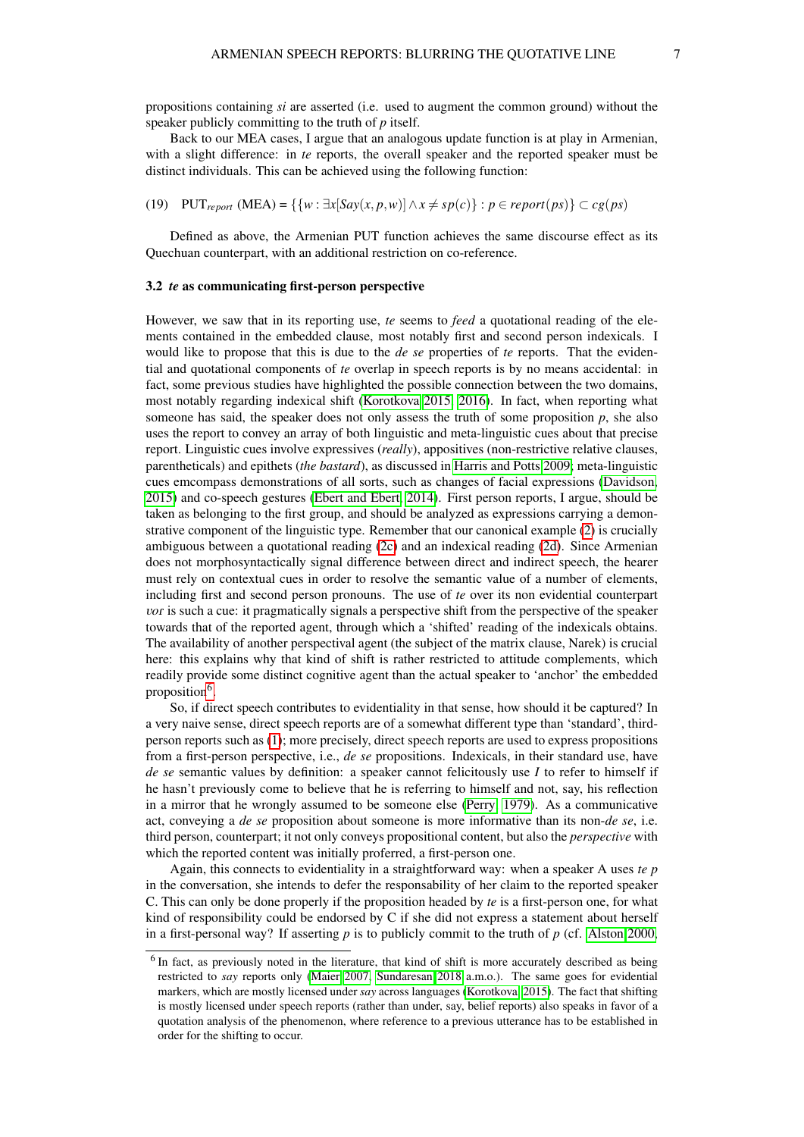Back to our MEA cases, I argue that an analogous update function is at play in Armenian, with a slight difference: in *te* reports, the overall speaker and the reported speaker must be distinct individuals. This can be achieved using the following function:

(19) 
$$
PUT_{report} (MEA) = \{ \{ w : \exists x [Say(x, p, w)] \land x \neq sp(c) \} : p \in report(ps) \} \subset cg(ps)
$$

Defined as above, the Armenian PUT function achieves the same discourse effect as its Quechuan counterpart, with an additional restriction on co-reference.

#### 3.2 *te* as communicating first-person perspective

However, we saw that in its reporting use, *te* seems to *feed* a quotational reading of the elements contained in the embedded clause, most notably first and second person indexicals. I would like to propose that this is due to the *de se* properties of *te* reports. That the evidential and quotational components of *te* overlap in speech reports is by no means accidental: in fact, some previous studies have highlighted the possible connection between the two domains, most notably regarding indexical shift [\(Korotkova 2015,](#page-8-14) [2016\)](#page-8-15). In fact, when reporting what someone has said, the speaker does not only assess the truth of some proposition *p*, she also uses the report to convey an array of both linguistic and meta-linguistic cues about that precise report. Linguistic cues involve expressives (*really*), appositives (non-restrictive relative clauses, parentheticals) and epithets (*the bastard*), as discussed in [Harris and Potts 2009;](#page-8-16) meta-linguistic cues emcompass demonstrations of all sorts, such as changes of facial expressions [\(Davidson,](#page-7-8) [2015\)](#page-7-8) and co-speech gestures [\(Ebert and Ebert, 2014\)](#page-7-9). First person reports, I argue, should be taken as belonging to the first group, and should be analyzed as expressions carrying a demonstrative component of the linguistic type. Remember that our canonical example [\(2\)](#page-0-0) is crucially ambiguous between a quotational reading [\(2c\)](#page-0-0) and an indexical reading [\(2d\)](#page-0-0). Since Armenian does not morphosyntactically signal difference between direct and indirect speech, the hearer must rely on contextual cues in order to resolve the semantic value of a number of elements, including first and second person pronouns. The use of *te* over its non evidential counterpart *vor* is such a cue: it pragmatically signals a perspective shift from the perspective of the speaker towards that of the reported agent, through which a 'shifted' reading of the indexicals obtains. The availability of another perspectival agent (the subject of the matrix clause, Narek) is crucial here: this explains why that kind of shift is rather restricted to attitude complements, which readily provide some distinct cognitive agent than the actual speaker to 'anchor' the embedded proposition<sup>[6](#page-0-1)</sup>.

So, if direct speech contributes to evidentiality in that sense, how should it be captured? In a very naive sense, direct speech reports are of a somewhat different type than 'standard', thirdperson reports such as [\(1\)](#page-0-0); more precisely, direct speech reports are used to express propositions from a first-person perspective, i.e., *de se* propositions. Indexicals, in their standard use, have *de se* semantic values by definition: a speaker cannot felicitously use *I* to refer to himself if he hasn't previously come to believe that he is referring to himself and not, say, his reflection in a mirror that he wrongly assumed to be someone else [\(Perry, 1979\)](#page-8-17). As a communicative act, conveying a *de se* proposition about someone is more informative than its non-*de se*, i.e. third person, counterpart; it not only conveys propositional content, but also the *perspective* with which the reported content was initially proferred, a first-person one.

Again, this connects to evidentiality in a straightforward way: when a speaker A uses *te p* in the conversation, she intends to defer the responsability of her claim to the reported speaker C. This can only be done properly if the proposition headed by *te* is a first-person one, for what kind of responsibility could be endorsed by C if she did not express a statement about herself in a first-personal way? If asserting *p* is to publicly commit to the truth of *p* (cf. [Alston 2000,](#page-7-10)

 $<sup>6</sup>$  In fact, as previously noted in the literature, that kind of shift is more accurately described as being</sup> restricted to *say* reports only [\(Maier 2007,](#page-8-6) [Sundaresan 2018](#page-8-9) a.m.o.). The same goes for evidential markers, which are mostly licensed under *say* across languages [\(Korotkova, 2015\)](#page-8-14). The fact that shifting is mostly licensed under speech reports (rather than under, say, belief reports) also speaks in favor of a quotation analysis of the phenomenon, where reference to a previous utterance has to be established in order for the shifting to occur.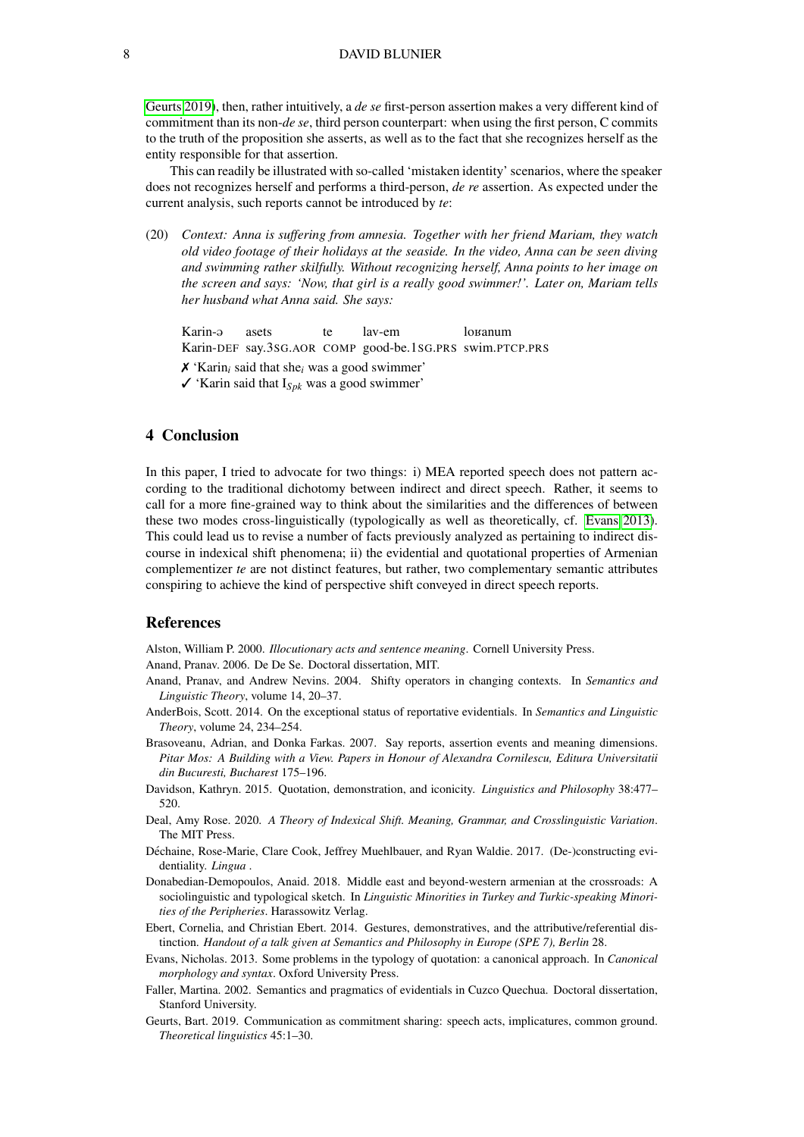[Geurts 2019\)](#page-7-11), then, rather intuitively, a *de se* first-person assertion makes a very different kind of commitment than its non-*de se*, third person counterpart: when using the first person, C commits to the truth of the proposition she asserts, as well as to the fact that she recognizes herself as the entity responsible for that assertion.

This can readily be illustrated with so-called 'mistaken identity' scenarios, where the speaker does not recognizes herself and performs a third-person, *de re* assertion. As expected under the current analysis, such reports cannot be introduced by *te*:

(20) *Context: Anna is suffering from amnesia. Together with her friend Mariam, they watch old video footage of their holidays at the seaside. In the video, Anna can be seen diving and swimming rather skilfully. Without recognizing herself, Anna points to her image on the screen and says: 'Now, that girl is a really good swimmer!'. Later on, Mariam tells her husband what Anna said. She says:*

Karin-@ Karin-DEF say.3SG.AOR COMP good-be.1SG.PRS swim.PTCP.PRS asets te lav-em lo<sub>Kanum</sub>

✗ 'Karin*<sup>i</sup>* said that she*<sup>i</sup>* was a good swimmer'

 $\checkmark$  'Karin said that I<sub>Spk</sub> was a good swimmer'

# 4 Conclusion

In this paper, I tried to advocate for two things: i) MEA reported speech does not pattern according to the traditional dichotomy between indirect and direct speech. Rather, it seems to call for a more fine-grained way to think about the similarities and the differences of between these two modes cross-linguistically (typologically as well as theoretically, cf. [Evans 2013\)](#page-7-12). This could lead us to revise a number of facts previously analyzed as pertaining to indirect discourse in indexical shift phenomena; ii) the evidential and quotational properties of Armenian complementizer *te* are not distinct features, but rather, two complementary semantic attributes conspiring to achieve the kind of perspective shift conveyed in direct speech reports.

### References

<span id="page-7-10"></span>Alston, William P. 2000. *Illocutionary acts and sentence meaning*. Cornell University Press.

<span id="page-7-3"></span>Anand, Pranav. 2006. De De Se. Doctoral dissertation, MIT.

- <span id="page-7-5"></span>Anand, Pranav, and Andrew Nevins. 2004. Shifty operators in changing contexts. In *Semantics and Linguistic Theory*, volume 14, 20–37.
- <span id="page-7-2"></span>AnderBois, Scott. 2014. On the exceptional status of reportative evidentials. In *Semantics and Linguistic Theory*, volume 24, 234–254.
- <span id="page-7-4"></span>Brasoveanu, Adrian, and Donka Farkas. 2007. Say reports, assertion events and meaning dimensions. *Pitar Mos: A Building with a View. Papers in Honour of Alexandra Cornilescu, Editura Universitatii din Bucuresti, Bucharest* 175–196.
- <span id="page-7-8"></span>Davidson, Kathryn. 2015. Quotation, demonstration, and iconicity. *Linguistics and Philosophy* 38:477– 520.
- <span id="page-7-6"></span>Deal, Amy Rose. 2020. *A Theory of Indexical Shift. Meaning, Grammar, and Crosslinguistic Variation*. The MIT Press.
- <span id="page-7-7"></span>Déchaine, Rose-Marie, Clare Cook, Jeffrey Muehlbauer, and Ryan Waldie. 2017. (De-)constructing evidentiality. *Lingua* .
- <span id="page-7-0"></span>Donabedian-Demopoulos, Anaid. 2018. Middle east and beyond-western armenian at the crossroads: A sociolinguistic and typological sketch. In *Linguistic Minorities in Turkey and Turkic-speaking Minorities of the Peripheries*. Harassowitz Verlag.
- <span id="page-7-9"></span>Ebert, Cornelia, and Christian Ebert. 2014. Gestures, demonstratives, and the attributive/referential distinction. *Handout of a talk given at Semantics and Philosophy in Europe (SPE 7), Berlin* 28.
- <span id="page-7-12"></span>Evans, Nicholas. 2013. Some problems in the typology of quotation: a canonical approach. In *Canonical morphology and syntax*. Oxford University Press.
- <span id="page-7-1"></span>Faller, Martina. 2002. Semantics and pragmatics of evidentials in Cuzco Quechua. Doctoral dissertation, Stanford University.
- <span id="page-7-11"></span>Geurts, Bart. 2019. Communication as commitment sharing: speech acts, implicatures, common ground. *Theoretical linguistics* 45:1–30.